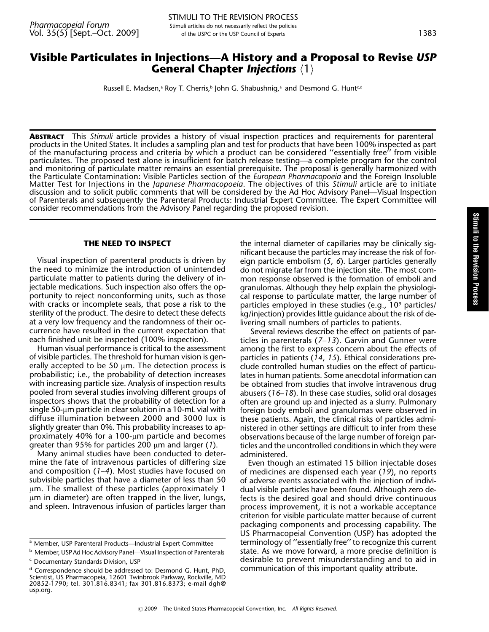## Visible Particulates in Injections—A History and a Proposal to Revise USP General Chapter *Injections*  $\langle 1 \rangle$

Russell E. Madsen,<sup>a</sup> Roy T. Cherris,<sup>b</sup> John G. Shabushnig,<sup>a</sup> and Desmond G. Hunt<sup>c,d</sup>

ABSTRACT This Stimuli article provides a history of visual inspection practices and requirements for parenteral products in the United States. It includes a sampling plan and test for products that have been 100% inspected as part of the manufacturing process and criteria by which a product can be considered ''essentially free'' from visible particulates. The proposed test alone is insufficient for batch release testing—a complete program for the control and monitoring of particulate matter remains an essential prerequisite. The proposal is generally harmonized with the Particulate Contamination: Visible Particles section of the *European Pharmacopoeia* and the Foreign Insoluble Matter Test for Injections in the *Japanese Pharmacopoeia*. The objectives of this Stimuli article are to initiate discussion and to solicit public comments that will be considered by the Ad Hoc Advisory Panel—Visual Inspection of Parenterals and subsequently the Parenteral Products: Industrial Expert Committee. The Expert Committee will consider recommendations from the Advisory Panel regarding the proposed revision.

#### THE NEED TO INSPECT

Visual inspection of parenteral products is driven by the need to minimize the introduction of unintended particulate matter to patients during the delivery of injectable medications. Such inspection also offers the opportunity to reject nonconforming units, such as those with cracks or incomplete seals, that pose a risk to the sterility of the product. The desire to detect these defects at a very low frequency and the randomness of their occurrence have resulted in the current expectation that each finished unit be inspected (100% inspection).

Human visual performance is critical to the assessment of visible particles. The threshold for human vision is generally accepted to be 50  $\mu$ m. The detection process is probabilistic; i.e., the probability of detection increases with increasing particle size. Analysis of inspection results pooled from several studies involving different groups of inspectors shows that the probability of detection for a single 50-µm particle in clear solution in a 10-mL vial with diffuse illumination between 2000 and 3000 lux is slightly greater than 0%. This probability increases to approximately 40% for a 100- $\mu$ m particle and becomes greater than 95% for particles 200  $\mu$ m and larger (1).

Many animal studies have been conducted to determine the fate of intravenous particles of differing size and composition (1–4). Most studies have focused on subvisible particles that have a diameter of less than 50  $\mu$ m. The smallest of these particles (approximately 1  $\mu$ m in diameter) are often trapped in the liver, lungs, and spleen. Intravenous infusion of particles larger than

the internal diameter of capillaries may be clinically significant because the particles may increase the risk of foreign particle embolism (5, 6). Larger particles generally do not migrate far from the injection site. The most common response observed is the formation of emboli and granulomas. Although they help explain the physiological response to particulate matter, the large number of particles employed in these studies (e.g., 10<sup>9</sup> particles/ kg/injection) provides little guidance about the risk of delivering small numbers of particles to patients.

Several reviews describe the effect on patients of particles in parenterals  $(7-13)$ . Garvin and Gunner were among the first to express concern about the effects of particles in patients (14, 15). Ethical considerations preclude controlled human studies on the effect of particulates in human patients. Some anecdotal information can be obtained from studies that involve intravenous drug abusers (16–18). In these case studies, solid oral dosages often are ground up and injected as a slurry. Pulmonary foreign body emboli and granulomas were observed in these patients. Again, the clinical risks of particles administered in other settings are difficult to infer from these observations because of the large number of foreign particles and the uncontrolled conditions in which they were administered.

Even though an estimated 15 billion injectable doses of medicines are dispensed each year (19), no reports of adverse events associated with the injection of individual visible particles have been found. Although zero defects is the desired goal and should drive continuous process improvement, it is not a workable acceptance criterion for visible particulate matter because of current packaging components and processing capability. The US Pharmacopeial Convention (USP) has adopted the terminology of ''essentially free'' to recognize this current state. As we move forward, a more precise definition is desirable to prevent misunderstanding and to aid in communication of this important quality attribute.

Stimulito

<sup>&</sup>lt;sup>a</sup> Member, USP Parenteral Products—Industrial Expert Committee

**b** Member, USP Ad Hoc Advisory Panel—Visual Inspection of Parenterals <sup>c</sup> Documentary Standards Division, USP

<sup>&</sup>lt;sup>d</sup> Correspondence should be addressed to: Desmond G. Hunt, PhD, Scientist, US Pharmacopeia, 12601 Twinbrook Parkway, Rockville, MD 20852-1790; tel. 301.816.8341; fax 301.816.8373; e-mail dgh@ usp.org.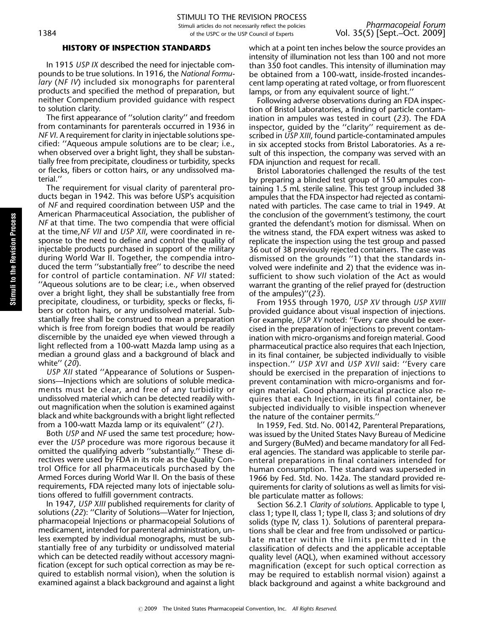#### HISTORY OF INSPECTION STANDARDS

In 1915 USP IX described the need for injectable compounds to be true solutions. In 1916, the National Formulary (NF IV) included six monographs for parenteral products and specified the method of preparation, but neither Compendium provided guidance with respect to solution clarity.

The first appearance of ''solution clarity'' and freedom from contaminants for parenterals occurred in 1936 in NF VI. A requirement for clarity in injectable solutions specified: ''Aqueous ampule solutions are to be clear; i.e., when observed over a bright light, they shall be substantially free from precipitate, cloudiness or turbidity, specks or flecks, fibers or cotton hairs, or any undissolved material.''

The requirement for visual clarity of parenteral products began in 1942. This was before USP's acquisition of NF and required coordination between USP and the American Pharmaceutical Association, the publisher of NF at that time. The two compendia that were official at the time,NF VII and USP XII, were coordinated in response to the need to define and control the quality of injectable products purchased in support of the military during World War II. Together, the compendia introduced the term ''substantially free'' to describe the need for control of particle contamination. NF VII stated: ''Aqueous solutions are to be clear; i.e., when observed over a bright light, they shall be substantially free from precipitate, cloudiness, or turbidity, specks or flecks, fibers or cotton hairs, or any undissolved material. Substantially free shall be construed to mean a preparation which is free from foreign bodies that would be readily discernible by the unaided eye when viewed through a light reflected from a 100-watt Mazda lamp using as a median a ground glass and a background of black and white'' (20).

USP XII stated ''Appearance of Solutions or Suspensions—Injections which are solutions of soluble medicaments must be clear, and free of any turbidity or undissolved material which can be detected readily without magnification when the solution is examined against black and white backgrounds with a bright light reflected from a 100-watt Mazda lamp or its equivalent'' (21).

Both USP and NF used the same test procedure; however the USP procedure was more rigorous because it omitted the qualifying adverb ''substantially.'' These directives were used by FDA in its role as the Quality Control Office for all pharmaceuticals purchased by the Armed Forces during World War II. On the basis of these requirements, FDA rejected many lots of injectable solutions offered to fulfill government contracts.

In 1947, USP XIII published requirements for clarity of solutions (22): ''Clarity of Solutions—Water for Injection, pharmacopeial Injections or pharmacopeial Solutions of medicament, intended for parenteral administration, unless exempted by individual monographs, must be substantially free of any turbidity or undissolved material which can be detected readily without accessory magnification (except for such optical correction as may be required to establish normal vision), when the solution is examined against a black background and against a light which at a point ten inches below the source provides an intensity of illumination not less than 100 and not more than 350 foot candles. This intensity of illumination may be obtained from a 100-watt, inside-frosted incandescent lamp operating at rated voltage, or from fluorescent lamps, or from any equivalent source of light.''

Following adverse observations during an FDA inspection of Bristol Laboratories, a finding of particle contamination in ampules was tested in court (23). The FDA inspector, guided by the ''clarity'' requirement as described in USP XIII, found particle-contaminated ampules in six accepted stocks from Bristol Laboratories. As a result of this inspection, the company was served with an FDA injunction and request for recall.

Bristol Laboratories challenged the results of the test by preparing a blinded test group of 150 ampules containing 1.5 mL sterile saline. This test group included 38 ampules that the FDA inspector had rejected as contaminated with particles. The case came to trial in 1949. At the conclusion of the government's testimony, the court granted the defendant's motion for dismissal. When on the witness stand, the FDA expert witness was asked to replicate the inspection using the test group and passed 36 out of 38 previously rejected containers. The case was dismissed on the grounds ''1) that the standards involved were indefinite and 2) that the evidence was insufficient to show such violation of the Act as would warrant the granting of the relief prayed for (destruction of the ampules)''(23).

From 1955 through 1970, USP XV through USP XVIII provided guidance about visual inspection of injections. For example, USP XV noted: ''Every care should be exercised in the preparation of injections to prevent contamination with micro-organisms and foreign material. Good pharmaceutical practice also requires that each Injection, in its final container, be subjected individually to visible inspection.'' USP XVI and USP XVII said: ''Every care should be exercised in the preparation of injections to prevent contamination with micro-organisms and foreign material. Good pharmaceutical practice also requires that each Injection, in its final container, be subjected individually to visible inspection whenever the nature of the container permits.''

In 1959, Fed. Std. No. 00142, Parenteral Preparations, was issued by the United States Navy Bureau of Medicine and Surgery (BuMed) and became mandatory for all Federal agencies. The standard was applicable to sterile parenteral preparations in final containers intended for human consumption. The standard was superseded in 1966 by Fed. Std. No. 142a. The standard provided requirements for clarity of solutions as well as limits for visible particulate matter as follows:

Section S6.2.1 Clarity of solutions. Applicable to type I, class 1; type II, class 1; type II, class 3; and solutions of dry solids (type IV, class 1). Solutions of parenteral preparations shall be clear and free from undissolved or particulate matter within the limits permitted in the classification of defects and the applicable acceptable quality level (AQL), when examined without accessory magnification (except for such optical correction as may be required to establish normal vision) against a black background and against a white background and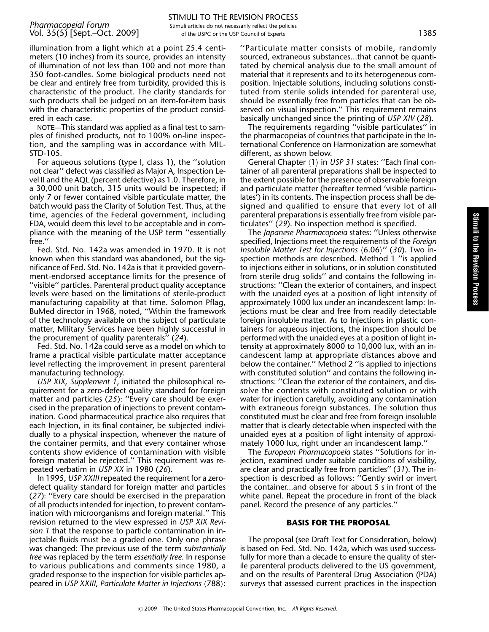# Stimuli tothe Revision Process

illumination from a light which at a point 25.4 centimeters (10 inches) from its source, provides an intensity of illumination of not less than 100 and not more than 350 foot-candles. Some biological products need not be clear and entirely free from turbidity, provided this is characteristic of the product. The clarity standards for such products shall be judged on an item-for-item basis with the characteristic properties of the product considered in each case.

NOTE—This standard was applied as a final test to samples of finished products, not to 100% on-line inspection, and the sampling was in accordance with MIL-STD-105.

For aqueous solutions (type I, class 1), the ''solution not clear'' defect was classified as Major A, Inspection Level II and the AQL (percent defective) as 1.0. Therefore, in a 30,000 unit batch, 315 units would be inspected; if only 7 or fewer contained visible particulate matter, the batch would pass the Clarity of Solution Test. Thus, at the time, agencies of the Federal government, including FDA, would deem this level to be acceptable and in compliance with the meaning of the USP term ''essentially free.''

Fed. Std. No. 142a was amended in 1970. It is not known when this standard was abandoned, but the significance of Fed. Std. No. 142a is that it provided government-endorsed acceptance limits for the presence of ''visible'' particles. Parenteral product quality acceptance levels were based on the limitations of sterile-product manufacturing capability at that time. Solomon Pflag, BuMed director in 1968, noted, ''Within the framework of the technology available on the subject of particulate matter, Military Services have been highly successful in the procurement of quality parenterals'' (24).

Fed. Std. No. 142a could serve as a model on which to frame a practical visible particulate matter acceptance level reflecting the improvement in present parenteral manufacturing technology.

USP XIX, Supplement 1, initiated the philosophical requirement for a zero-defect quality standard for foreign matter and particles (25): ''Every care should be exercised in the preparation of injections to prevent contamination. Good pharmaceutical practice also requires that each Injection, in its final container, be subjected individually to a physical inspection, whenever the nature of the container permits, and that every container whose contents show evidence of contamination with visible foreign material be rejected.'' This requirement was repeated verbatim in USP XX in 1980 (26).

In 1995, USP XXIII repeated the requirement for a zerodefect quality standard for foreign matter and particles (27): ''Every care should be exercised in the preparation of all products intended for injection, to prevent contamination with microorganisms and foreign material.'' This revision returned to the view expressed in USP XIX Revision 1 that the response to particle contamination in injectable fluids must be a graded one. Only one phrase was changed: The previous use of the term substantially free was replaced by the term essentially free. In response to various publications and comments since 1980, a graded response to the inspection for visible particles appeared in USP XXIII, Particulate Matter in Injections  $\langle 788 \rangle$ :

''Particulate matter consists of mobile, randomly sourced, extraneous substances...that cannot be quantitated by chemical analysis due to the small amount of material that it represents and to its heterogeneous composition. Injectable solutions, including solutions constituted from sterile solids intended for parenteral use, should be essentially free from particles that can be observed on visual inspection.'' This requirement remains basically unchanged since the printing of USP XIV (28).

The requirements regarding ''visible particulates'' in the pharmacopeias of countries that participate in the International Conference on Harmonization are somewhat different, as shown below.

General Chapter  $\langle 1 \rangle$  in USP 31 states: "Each final container of all parenteral preparations shall be inspected to the extent possible for the presence of observable foreign and particulate matter (hereafter termed 'visible particulates') in its contents. The inspection process shall be designed and qualified to ensure that every lot of all parenteral preparations is essentially free from visible particulates'' (29). No inspection method is specified.

The Japanese Pharmacopoeia states: ''Unless otherwise specified, Injections meet the requirements of the Foreign Insoluble Matter Test for Injections  $\langle 6.06\rangle''$  (30). Two inspection methods are described. Method 1 ''is applied to injections either in solutions, or in solution constituted from sterile drug solids'' and contains the following instructions: ''Clean the exterior of containers, and inspect with the unaided eyes at a position of light intensity of approximately 1000 lux under an incandescent lamp: Injections must be clear and free from readily detectable foreign insoluble matter. As to Injections in plastic containers for aqueous injections, the inspection should be performed with the unaided eyes at a position of light intensity at approximately 8000 to 10,000 lux, with an incandescent lamp at appropriate distances above and below the container.'' Method 2 ''is applied to injections with constituted solution'' and contains the following instructions: ''Clean the exterior of the containers, and dissolve the contents with constituted solution or with water for injection carefully, avoiding any contamination with extraneous foreign substances. The solution thus constituted must be clear and free from foreign insoluble matter that is clearly detectable when inspected with the unaided eyes at a position of light intensity of approximately 1000 lux, right under an incandescent lamp.''

The European Pharmacopoeia states ''Solutions for injection, examined under suitable conditions of visibility, are clear and practically free from particles'' (31). The inspection is described as follows: ''Gently swirl or invert the container...and observe for about 5 s in front of the white panel. Repeat the procedure in front of the black panel. Record the presence of any particles.''

#### BASIS FOR THE PROPOSAL

The proposal (see Draft Text for Consideration, below) is based on Fed. Std. No. 142a, which was used successfully for more than a decade to ensure the quality of sterile parenteral products delivered to the US government, and on the results of Parenteral Drug Association (PDA) surveys that assessed current practices in the inspection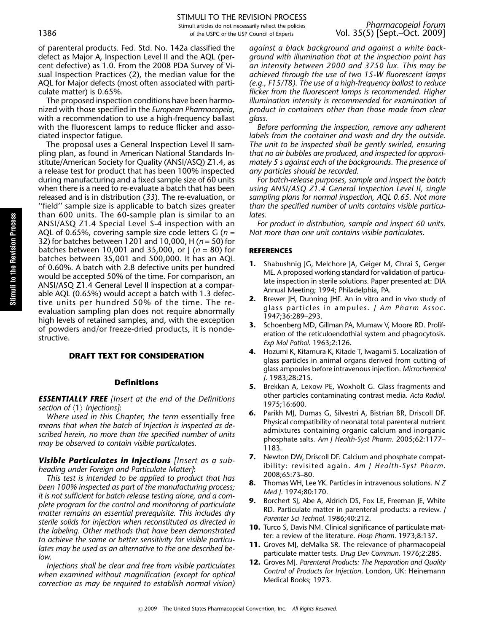of parenteral products. Fed. Std. No. 142a classified the defect as Major A, Inspection Level II and the AQL (percent defective) as 1.0. From the 2008 PDA Survey of Visual Inspection Practices (2), the median value for the AQL for Major defects (most often associated with particulate matter) is 0.65%.

The proposed inspection conditions have been harmonized with those specified in the European Pharmacopeia, with a recommendation to use a high-frequency ballast with the fluorescent lamps to reduce flicker and associated inspector fatigue.

The proposal uses a General Inspection Level II sampling plan, as found in American National Standards Institute/American Society for Quality (ANSI/ASQ) Z1.4, as a release test for product that has been 100% inspected during manufacturing and a fixed sample size of 60 units when there is a need to re-evaluate a batch that has been released and is in distribution (33). The re-evaluation, or ''field'' sample size is applicable to batch sizes greater than 600 units. The 60-sample plan is similar to an ANSI/ASQ Z1.4 Special Level S-4 inspection with an AQL of 0.65%, covering sample size code letters G ( $n =$ 32) for batches between 1201 and 10,000, H ( $n = 50$ ) for batches between 10,001 and 35,000, or  $\int (n = 80)$  for batches between 35,001 and 500,000. It has an AQL of 0.60%. A batch with 2.8 defective units per hundred would be accepted 50% of the time. For comparison, an ANSI/ASQ Z1.4 General Level II inspection at a comparable AQL (0.65%) would accept a batch with 1.3 defective units per hundred 50% of the time. The reevaluation sampling plan does not require abnormally high levels of retained samples, and, with the exception of powders and/or freeze-dried products, it is nondestructive.

### DRAFT TEXT FOR CONSIDERATION

#### Definitions

**ESSENTIALLY FREE** [Insert at the end of the Definitions section of  $\langle 1 \rangle$  Injections]:

Where used in this Chapter, the term essentially free means that when the batch of Injection is inspected as described herein, no more than the specified number of units may be observed to contain visible particulates.

Visible Particulates in Injections [Insert as a subheading under Foreign and Particulate Matter]:

This test is intended to be applied to product that has been 100% inspected as part of the manufacturing process; it is not sufficient for batch release testing alone, and a complete program for the control and monitoring of particulate matter remains an essential prerequisite. This includes dry sterile solids for injection when reconstituted as directed in the labeling. Other methods that have been demonstrated to achieve the same or better sensitivity for visible particulates may be used as an alternative to the one described below.

Injections shall be clear and free from visible particulates when examined without magnification (except for optical correction as may be required to establish normal vision) against a black background and against a white background with illumination that at the inspection point has an intensity between 2000 and 3750 lux. This may be achieved through the use of two 15-W fluorescent lamps (e.g., F15/T8). The use of a high-frequency ballast to reduce flicker from the fluorescent lamps is recommended. Higher illumination intensity is recommended for examination of product in containers other than those made from clear glass.

Before performing the inspection, remove any adherent labels from the container and wash and dry the outside. The unit to be inspected shall be gently swirled, ensuring that no air bubbles are produced, and inspected for approximately 5 s against each of the backgrounds. The presence of any particles should be recorded.

For batch-release purposes, sample and inspect the batch using ANSI/ASQ Z1.4 General Inspection Level II, single sampling plans for normal inspection, AQL 0.65. Not more than the specified number of units contains visible particulates.

For product in distribution, sample and inspect 60 units. Not more than one unit contains visible particulates.

#### **REFERENCES**

© 2009 The United States Pharmacopeial Convention, Inc. All Rights Reserved.

- 1. Shabushnig JG, Melchore JA, Geiger M, Chrai S, Gerger ME. A proposed working standard for validation of particulate inspection in sterile solutions. Paper presented at: DIA Annual Meeting; 1994; Philadelphia, PA.
- 2. Brewer JH, Dunning JHF. An in vitro and in vivo study of glass particles in ampules. J Am Pharm Assoc. 1947;36:289–293.
- 3. Schoenberg MD, Gillman PA, Mumaw V, Moore RD. Proliferation of the reticuloendothial system and phagocytosis. Exp Mol Pathol. 1963;2:126.
- 4. Hozumi K, Kitamura K, Kitade T, Iwagami S. Localization of glass particles in animal organs derived from cutting of glass ampoules before intravenous injection. Microchemical J. 1983;28:215.
- 5. Brekkan A, Lexow PE, Woxholt G. Glass fragments and other particles contaminating contrast media. Acta Radiol. 1975;16:600.
- 6. Parikh MJ, Dumas G, Silvestri A, Bistrian BR, Driscoll DF. Physical compatibility of neonatal total parenteral nutrient admixtures containing organic calcium and inorganic phosphate salts. Am J Health-Syst Pharm. 2005;62:1177– 1183.
- 7. Newton DW, Driscoll DF. Calcium and phosphate compatibility: revisited again. Am J Health-Syst Pharm. 2008;65:73–80.
- 8. Thomas WH, Lee YK. Particles in intravenous solutions. N Z Med J. 1974;80:170.
- 9. Borchert SJ, Abe A, Aldrich DS, Fox LE, Freeman JE, White RD. Particulate matter in parenteral products: a review. J Parenter Sci Technol. 1986;40:212.
- **10.** Turco S, Davis NM. Clinical significance of particulate matter: a review of the literature. Hosp Pharm. 1973;8:137.
- 11. Groves MJ, deMalka SR. The relevance of pharmacopeial particulate matter tests. Drug Dev Commun. 1976;2:285.
- **12.** Groves MJ. Parenteral Products: The Preparation and Quality Control of Products for Injection. London, UK: Heinemann Medical Books; 1973.